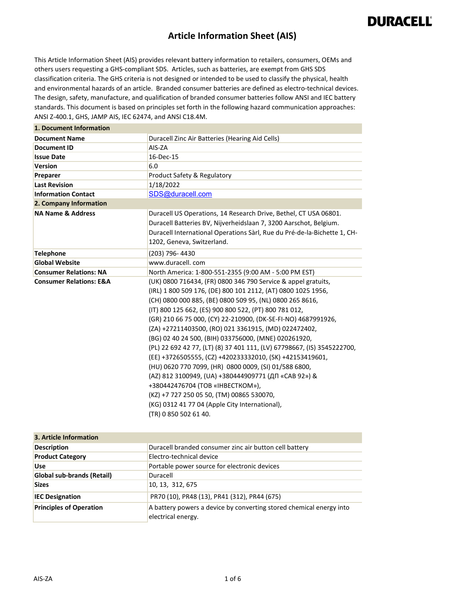#### **Article Information Sheet (AIS)**

This Article Information Sheet (AIS) provides relevant battery information to retailers, consumers, OEMs and others users requesting a GHS-compliant SDS. Articles, such as batteries, are exempt from GHS SDS classification criteria. The GHS criteria is not designed or intended to be used to classify the physical, health and environmental hazards of an article. Branded consumer batteries are defined as electro-technical devices. The design, safety, manufacture, and qualification of branded consumer batteries follow ANSI and IEC battery standards. This document is based on principles set forth in the following hazard communication approaches: ANSI Z-400.1, GHS, JAMP AIS, IEC 62474, and ANSI C18.4M.

| 1. Document Information            |                                                                                                                                                                                                                                                                                                                                                                                                                                                                                                                                                                                                                                                                                                                                                                                                                                                         |
|------------------------------------|---------------------------------------------------------------------------------------------------------------------------------------------------------------------------------------------------------------------------------------------------------------------------------------------------------------------------------------------------------------------------------------------------------------------------------------------------------------------------------------------------------------------------------------------------------------------------------------------------------------------------------------------------------------------------------------------------------------------------------------------------------------------------------------------------------------------------------------------------------|
| <b>Document Name</b>               | Duracell Zinc Air Batteries (Hearing Aid Cells)                                                                                                                                                                                                                                                                                                                                                                                                                                                                                                                                                                                                                                                                                                                                                                                                         |
| <b>Document ID</b>                 | AIS-ZA                                                                                                                                                                                                                                                                                                                                                                                                                                                                                                                                                                                                                                                                                                                                                                                                                                                  |
| <b>Issue Date</b>                  | 16-Dec-15                                                                                                                                                                                                                                                                                                                                                                                                                                                                                                                                                                                                                                                                                                                                                                                                                                               |
| <b>Version</b>                     | 6.0                                                                                                                                                                                                                                                                                                                                                                                                                                                                                                                                                                                                                                                                                                                                                                                                                                                     |
| Preparer                           | Product Safety & Regulatory                                                                                                                                                                                                                                                                                                                                                                                                                                                                                                                                                                                                                                                                                                                                                                                                                             |
| <b>Last Revision</b>               | 1/18/2022                                                                                                                                                                                                                                                                                                                                                                                                                                                                                                                                                                                                                                                                                                                                                                                                                                               |
| <b>Information Contact</b>         | SDS@duracell.com                                                                                                                                                                                                                                                                                                                                                                                                                                                                                                                                                                                                                                                                                                                                                                                                                                        |
| 2. Company Information             |                                                                                                                                                                                                                                                                                                                                                                                                                                                                                                                                                                                                                                                                                                                                                                                                                                                         |
| <b>NA Name &amp; Address</b>       | Duracell US Operations, 14 Research Drive, Bethel, CT USA 06801.<br>Duracell Batteries BV, Nijverheidslaan 7, 3200 Aarschot, Belgium.<br>Duracell International Operations Sàrl, Rue du Pré-de-la-Bichette 1, CH-<br>1202, Geneva, Switzerland.                                                                                                                                                                                                                                                                                                                                                                                                                                                                                                                                                                                                         |
| <b>Telephone</b>                   | (203) 796-4430                                                                                                                                                                                                                                                                                                                                                                                                                                                                                                                                                                                                                                                                                                                                                                                                                                          |
| <b>Global Website</b>              | www.duracell.com                                                                                                                                                                                                                                                                                                                                                                                                                                                                                                                                                                                                                                                                                                                                                                                                                                        |
| <b>Consumer Relations: NA</b>      | North America: 1-800-551-2355 (9:00 AM - 5:00 PM EST)                                                                                                                                                                                                                                                                                                                                                                                                                                                                                                                                                                                                                                                                                                                                                                                                   |
| <b>Consumer Relations: E&amp;A</b> | (UK) 0800 716434, (FR) 0800 346 790 Service & appel gratuits,<br>(IRL) 1 800 509 176, (DE) 800 101 2112, (AT) 0800 1025 1956,<br>(CH) 0800 000 885, (BE) 0800 509 95, (NL) 0800 265 8616,<br>(IT) 800 125 662, (ES) 900 800 522, (PT) 800 781 012,<br>(GR) 210 66 75 000, (CY) 22-210900, (DK-SE-FI-NO) 4687991926,<br>(ZA) +27211403500, (RO) 021 3361915, (MD) 022472402,<br>(BG) 02 40 24 500, (BIH) 033756000, (MNE) 020261920,<br>(PL) 22 692 42 77, (LT) (8) 37 401 111, (LV) 67798667, (IS) 3545222700,<br>(EE) +3726505555, (CZ) +420233332010, (SK) +42153419601,<br>(HU) 0620 770 7099, (HR) 0800 0009, (SI) 01/588 6800,<br>(AZ) 812 3100949, (UA) +380444909771 (ДП «САВ 92») &<br>+380442476704 (TOB «IHBECTKOM»),<br>(KZ) +7 727 250 05 50, (TM) 00865 530070,<br>(KG) 0312 41 77 04 (Apple City International),<br>(TR) 0 850 502 61 40. |

| 3. Article Information            |                                                                                           |
|-----------------------------------|-------------------------------------------------------------------------------------------|
| <b>Description</b>                | Duracell branded consumer zinc air button cell battery                                    |
| <b>Product Category</b>           | Electro-technical device                                                                  |
| <b>Use</b>                        | Portable power source for electronic devices                                              |
| <b>Global sub-brands (Retail)</b> | Duracell                                                                                  |
| <b>Sizes</b>                      | 10, 13, 312, 675                                                                          |
| <b>IEC Designation</b>            | PR70 (10), PR48 (13), PR41 (312), PR44 (675)                                              |
| <b>Principles of Operation</b>    | A battery powers a device by converting stored chemical energy into<br>electrical energy. |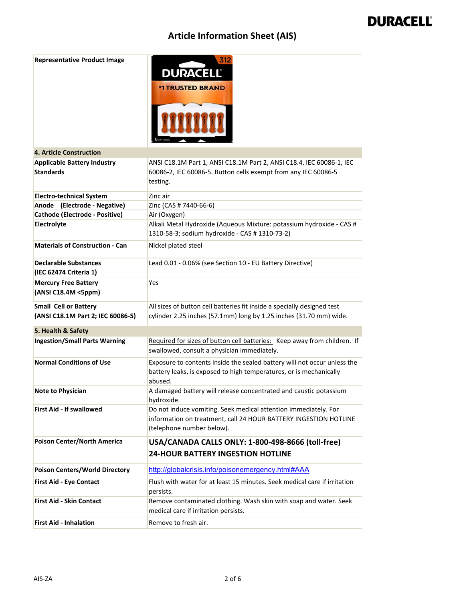| <b>Representative Product Image</b>                               | 312<br><b>DURACELL®</b><br><b><i><b>*1TRUSTED BRAND</b></i></b>                                                                                                  |
|-------------------------------------------------------------------|------------------------------------------------------------------------------------------------------------------------------------------------------------------|
| <b>4. Article Construction</b>                                    |                                                                                                                                                                  |
| <b>Applicable Battery Industry</b><br><b>Standards</b>            | ANSI C18.1M Part 1, ANSI C18.1M Part 2, ANSI C18.4, IEC 60086-1, IEC<br>60086-2, IEC 60086-5. Button cells exempt from any IEC 60086-5<br>testing.               |
| <b>Electro-technical System</b>                                   | Zinc air                                                                                                                                                         |
| Anode (Electrode - Negative)                                      | Zinc (CAS # 7440-66-6)                                                                                                                                           |
| Cathode (Electrode - Positive)                                    | Air (Oxygen)                                                                                                                                                     |
| Electrolyte                                                       | Alkali Metal Hydroxide (Aqueous Mixture: potassium hydroxide - CAS #<br>1310-58-3; sodium hydroxide - CAS # 1310-73-2)                                           |
| <b>Materials of Construction - Can</b>                            | Nickel plated steel                                                                                                                                              |
| <b>Declarable Substances</b><br>(IEC 62474 Criteria 1)            | Lead 0.01 - 0.06% (see Section 10 - EU Battery Directive)                                                                                                        |
| <b>Mercury Free Battery</b><br>(ANSI C18.4M <5ppm)                | Yes                                                                                                                                                              |
| <b>Small Cell or Battery</b><br>(ANSI C18.1M Part 2; IEC 60086-5) | All sizes of button cell batteries fit inside a specially designed test<br>cylinder 2.25 inches (57.1mm) long by 1.25 inches (31.70 mm) wide.                    |
| 5. Health & Safety                                                |                                                                                                                                                                  |
| <b>Ingestion/Small Parts Warning</b>                              | Required for sizes of button cell batteries: Keep away from children. If<br>swallowed, consult a physician immediately.                                          |
| <b>Normal Conditions of Use</b>                                   | Exposure to contents inside the sealed battery will not occur unless the<br>battery leaks, is exposed to high temperatures, or is mechanically<br>abused.        |
| <b>Note to Physician</b>                                          | A damaged battery will release concentrated and caustic potassium<br>hydroxide.                                                                                  |
| <b>First Aid - If swallowed</b>                                   | Do not induce vomiting. Seek medical attention immediately. For<br>information on treatment, call 24 HOUR BATTERY INGESTION HOTLINE<br>(telephone number below). |
| Poison Center/North America                                       | USA/CANADA CALLS ONLY: 1-800-498-8666 (toll-free)<br><b>24-HOUR BATTERY INGESTION HOTLINE</b>                                                                    |
| <b>Poison Centers/World Directory</b>                             | http://globalcrisis.info/poisonemergency.html#AAA                                                                                                                |
| <b>First Aid - Eye Contact</b>                                    | Flush with water for at least 15 minutes. Seek medical care if irritation<br>persists.                                                                           |
| <b>First Aid - Skin Contact</b>                                   | Remove contaminated clothing. Wash skin with soap and water. Seek<br>medical care if irritation persists.                                                        |
| <b>First Aid - Inhalation</b>                                     | Remove to fresh air.                                                                                                                                             |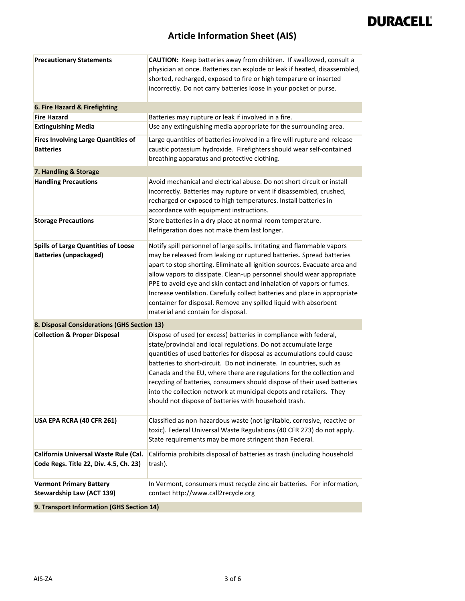| <b>Precautionary Statements</b>                                                 | CAUTION: Keep batteries away from children. If swallowed, consult a<br>physician at once. Batteries can explode or leak if heated, disassembled,<br>shorted, recharged, exposed to fire or high temparure or inserted<br>incorrectly. Do not carry batteries loose in your pocket or purse.                                                                                                                                                                                                                                                                                 |
|---------------------------------------------------------------------------------|-----------------------------------------------------------------------------------------------------------------------------------------------------------------------------------------------------------------------------------------------------------------------------------------------------------------------------------------------------------------------------------------------------------------------------------------------------------------------------------------------------------------------------------------------------------------------------|
| 6. Fire Hazard & Firefighting                                                   |                                                                                                                                                                                                                                                                                                                                                                                                                                                                                                                                                                             |
| <b>Fire Hazard</b>                                                              | Batteries may rupture or leak if involved in a fire.                                                                                                                                                                                                                                                                                                                                                                                                                                                                                                                        |
| <b>Extinguishing Media</b>                                                      | Use any extinguishing media appropriate for the surrounding area.                                                                                                                                                                                                                                                                                                                                                                                                                                                                                                           |
| <b>Fires Involving Large Quantities of</b><br><b>Batteries</b>                  | Large quantities of batteries involved in a fire will rupture and release<br>caustic potassium hydroxide. Firefighters should wear self-contained<br>breathing apparatus and protective clothing.                                                                                                                                                                                                                                                                                                                                                                           |
| 7. Handling & Storage                                                           |                                                                                                                                                                                                                                                                                                                                                                                                                                                                                                                                                                             |
| <b>Handling Precautions</b>                                                     | Avoid mechanical and electrical abuse. Do not short circuit or install<br>incorrectly. Batteries may rupture or vent if disassembled, crushed,<br>recharged or exposed to high temperatures. Install batteries in<br>accordance with equipment instructions.                                                                                                                                                                                                                                                                                                                |
| <b>Storage Precautions</b>                                                      | Store batteries in a dry place at normal room temperature.<br>Refrigeration does not make them last longer.                                                                                                                                                                                                                                                                                                                                                                                                                                                                 |
| <b>Spills of Large Quantities of Loose</b><br><b>Batteries (unpackaged)</b>     | Notify spill personnel of large spills. Irritating and flammable vapors<br>may be released from leaking or ruptured batteries. Spread batteries<br>apart to stop shorting. Eliminate all ignition sources. Evacuate area and<br>allow vapors to dissipate. Clean-up personnel should wear appropriate<br>PPE to avoid eye and skin contact and inhalation of vapors or fumes.<br>Increase ventilation. Carefully collect batteries and place in appropriate<br>container for disposal. Remove any spilled liquid with absorbent<br>material and contain for disposal.       |
| 8. Disposal Considerations (GHS Section 13)                                     |                                                                                                                                                                                                                                                                                                                                                                                                                                                                                                                                                                             |
| <b>Collection &amp; Proper Disposal</b>                                         | Dispose of used (or excess) batteries in compliance with federal,<br>state/provincial and local regulations. Do not accumulate large<br>quantities of used batteries for disposal as accumulations could cause<br>batteries to short-circuit. Do not incinerate. In countries, such as<br>Canada and the EU, where there are regulations for the collection and<br>recycling of batteries, consumers should dispose of their used batteries<br>into the collection network at municipal depots and retailers. They<br>should not dispose of batteries with household trash. |
| USA EPA RCRA (40 CFR 261)                                                       | Classified as non-hazardous waste (not ignitable, corrosive, reactive or<br>toxic). Federal Universal Waste Regulations (40 CFR 273) do not apply.<br>State requirements may be more stringent than Federal.                                                                                                                                                                                                                                                                                                                                                                |
| California Universal Waste Rule (Cal.<br>Code Regs. Title 22, Div. 4.5, Ch. 23) | California prohibits disposal of batteries as trash (including household<br>trash).                                                                                                                                                                                                                                                                                                                                                                                                                                                                                         |
| <b>Vermont Primary Battery</b><br><b>Stewardship Law (ACT 139)</b>              | In Vermont, consumers must recycle zinc air batteries. For information,<br>contact http://www.call2recycle.org                                                                                                                                                                                                                                                                                                                                                                                                                                                              |
| 9. Transport Information (GHS Section 14)                                       |                                                                                                                                                                                                                                                                                                                                                                                                                                                                                                                                                                             |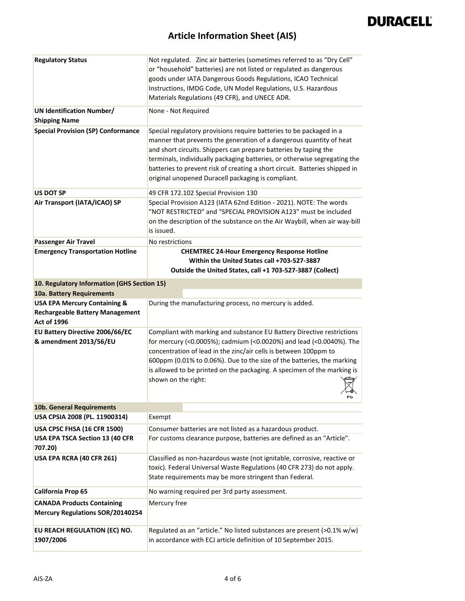| <b>Regulatory Status</b>                                                                                | Not regulated. Zinc air batteries (sometimes referred to as "Dry Cell"<br>or "household" batteries) are not listed or regulated as dangerous<br>goods under IATA Dangerous Goods Regulations, ICAO Technical<br>Instructions, IMDG Code, UN Model Regulations, U.S. Hazardous<br>Materials Regulations (49 CFR), and UNECE ADR.                                                                                                  |
|---------------------------------------------------------------------------------------------------------|----------------------------------------------------------------------------------------------------------------------------------------------------------------------------------------------------------------------------------------------------------------------------------------------------------------------------------------------------------------------------------------------------------------------------------|
| <b>UN Identification Number/</b><br><b>Shipping Name</b>                                                | None - Not Required                                                                                                                                                                                                                                                                                                                                                                                                              |
| <b>Special Provision (SP) Conformance</b>                                                               | Special regulatory provisions require batteries to be packaged in a<br>manner that prevents the generation of a dangerous quantity of heat<br>and short circuits. Shippers can prepare batteries by taping the<br>terminals, individually packaging batteries, or otherwise segregating the<br>batteries to prevent risk of creating a short circuit. Batteries shipped in<br>original unopened Duracell packaging is compliant. |
| US DOT SP                                                                                               | 49 CFR 172.102 Special Provision 130                                                                                                                                                                                                                                                                                                                                                                                             |
| Air Transport (IATA/ICAO) SP                                                                            | Special Provision A123 (IATA 62nd Edition - 2021). NOTE: The words<br>"NOT RESTRICTED" and "SPECIAL PROVISION A123" must be included<br>on the description of the substance on the Air Waybill, when air way-bill<br>is issued.                                                                                                                                                                                                  |
| <b>Passenger Air Travel</b>                                                                             | No restrictions                                                                                                                                                                                                                                                                                                                                                                                                                  |
| <b>Emergency Transportation Hotline</b>                                                                 | <b>CHEMTREC 24-Hour Emergency Response Hotline</b><br>Within the United States call +703-527-3887<br>Outside the United States, call +1 703-527-3887 (Collect)                                                                                                                                                                                                                                                                   |
| 10. Regulatory Information (GHS Section 15)<br>10a. Battery Requirements                                |                                                                                                                                                                                                                                                                                                                                                                                                                                  |
| <b>USA EPA Mercury Containing &amp;</b><br><b>Rechargeable Battery Management</b><br><b>Act of 1996</b> | During the manufacturing process, no mercury is added.                                                                                                                                                                                                                                                                                                                                                                           |
| <b>EU Battery Directive 2006/66/EC</b><br>& amendment 2013/56/EU                                        | Compliant with marking and substance EU Battery Directive restrictions<br>for mercury (<0.0005%); cadmium (<0.0020%) and lead (<0.0040%). The<br>concentration of lead in the zinc/air cells is between 100ppm to<br>600ppm (0.01% to 0.06%). Due to the size of the batteries, the marking<br>is allowed to be printed on the packaging. A specimen of the marking is<br>shown on the right:<br>۳р                              |
| 10b. General Requirements                                                                               |                                                                                                                                                                                                                                                                                                                                                                                                                                  |
| USA CPSIA 2008 (PL. 11900314)                                                                           | Exempt                                                                                                                                                                                                                                                                                                                                                                                                                           |
| USA CPSC FHSA (16 CFR 1500)                                                                             | Consumer batteries are not listed as a hazardous product.                                                                                                                                                                                                                                                                                                                                                                        |
| USA EPA TSCA Section 13 (40 CFR<br>707.20)                                                              | For customs clearance purpose, batteries are defined as an "Article".                                                                                                                                                                                                                                                                                                                                                            |
| USA EPA RCRA (40 CFR 261)                                                                               | Classified as non-hazardous waste (not ignitable, corrosive, reactive or<br>toxic). Federal Universal Waste Regulations (40 CFR 273) do not apply.<br>State requirements may be more stringent than Federal.                                                                                                                                                                                                                     |
| California Prop 65                                                                                      | No warning required per 3rd party assessment.                                                                                                                                                                                                                                                                                                                                                                                    |
| <b>CANADA Products Containing</b>                                                                       | Mercury free                                                                                                                                                                                                                                                                                                                                                                                                                     |
| <b>Mercury Regulations SOR/20140254</b>                                                                 |                                                                                                                                                                                                                                                                                                                                                                                                                                  |
| EU REACH REGULATION (EC) NO.<br>1907/2006                                                               | Regulated as an "article." No listed substances are present (>0.1% w/w)<br>in accordance with ECJ article definition of 10 September 2015.                                                                                                                                                                                                                                                                                       |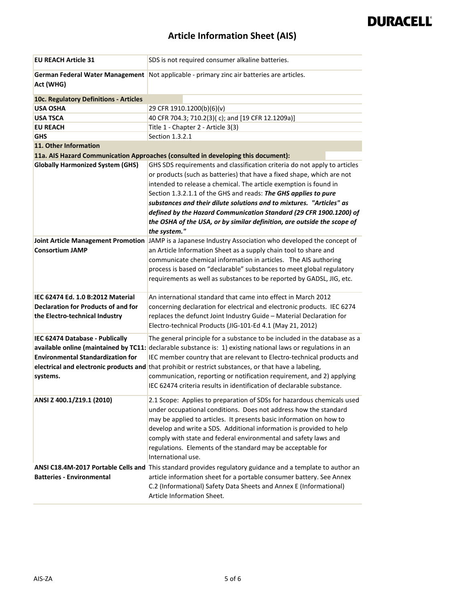| German Federal Water Management<br>Not applicable - primary zinc air batteries are articles.<br>Act (WHG)<br>10c. Regulatory Definitions - Articles<br>29 CFR 1910.1200(b)(6)(v)<br><b>USA OSHA</b><br>40 CFR 704.3; 710.2(3)(c); and [19 CFR 12.1209a)]<br><b>USA TSCA</b><br><b>EU REACH</b><br>Title 1 - Chapter 2 - Article 3(3)<br>Section 1.3.2.1<br><b>GHS</b><br>11. Other Information<br>11a. AIS Hazard Communication Approaches (consulted in developing this document):<br><b>Globally Harmonized System (GHS)</b><br>GHS SDS requirements and classification criteria do not apply to articles<br>or products (such as batteries) that have a fixed shape, which are not<br>intended to release a chemical. The article exemption is found in<br>Section 1.3.2.1.1 of the GHS and reads: The GHS applies to pure<br>substances and their dilute solutions and to mixtures. "Articles" as<br>defined by the Hazard Communication Standard (29 CFR 1900.1200) of<br>the OSHA of the USA, or by similar definition, are outside the scope of<br>the system."<br><b>Joint Article Management Promotion</b><br>JAMP is a Japanese Industry Association who developed the concept of<br><b>Consortium JAMP</b><br>an Article Information Sheet as a supply chain tool to share and<br>communicate chemical information in articles. The AIS authoring<br>process is based on "declarable" substances to meet global regulatory<br>requirements as well as substances to be reported by GADSL, JIG, etc.<br>An international standard that came into effect in March 2012<br>IEC 62474 Ed. 1.0 B:2012 Material<br><b>Declaration for Products of and for</b><br>concerning declaration for electrical and electronic products. IEC 6274<br>replaces the defunct Joint Industry Guide - Material Declaration for<br>the Electro-technical Industry<br>Electro-technical Products (JIG-101-Ed 4.1 (May 21, 2012)<br>IEC 62474 Database - Publically<br>The general principle for a substance to be included in the database as a<br>available online (maintained by TC11: declarable substance is: 1) existing national laws or regulations in an<br><b>Environmental Standardization for</b><br>IEC member country that are relevant to Electro-technical products and<br>electrical and electronic products and that prohibit or restrict substances, or that have a labeling,<br>communication, reporting or notification requirement, and 2) applying<br>systems.<br>IEC 62474 criteria results in identification of declarable substance.<br>ANSI Z 400.1/Z19.1 (2010)<br>2.1 Scope: Applies to preparation of SDSs for hazardous chemicals used<br>under occupational conditions. Does not address how the standard<br>may be applied to articles. It presents basic information on how to<br>develop and write a SDS. Additional information is provided to help<br>comply with state and federal environmental and safety laws and<br>regulations. Elements of the standard may be acceptable for<br>International use.<br>ANSI C18.4M-2017 Portable Cells and This standard provides regulatory guidance and a template to author an<br><b>Batteries - Environmental</b><br>article information sheet for a portable consumer battery. See Annex | <b>EU REACH Article 31</b> | SDS is not required consumer alkaline batteries. |
|---------------------------------------------------------------------------------------------------------------------------------------------------------------------------------------------------------------------------------------------------------------------------------------------------------------------------------------------------------------------------------------------------------------------------------------------------------------------------------------------------------------------------------------------------------------------------------------------------------------------------------------------------------------------------------------------------------------------------------------------------------------------------------------------------------------------------------------------------------------------------------------------------------------------------------------------------------------------------------------------------------------------------------------------------------------------------------------------------------------------------------------------------------------------------------------------------------------------------------------------------------------------------------------------------------------------------------------------------------------------------------------------------------------------------------------------------------------------------------------------------------------------------------------------------------------------------------------------------------------------------------------------------------------------------------------------------------------------------------------------------------------------------------------------------------------------------------------------------------------------------------------------------------------------------------------------------------------------------------------------------------------------------------------------------------------------------------------------------------------------------------------------------------------------------------------------------------------------------------------------------------------------------------------------------------------------------------------------------------------------------------------------------------------------------------------------------------------------------------------------------------------------------------------------------------------------------------------------------------------------------------------------------------------------------------------------------------------------------------------------------------------------------------------------------------------------------------------------------------------------------------------------------------------------------------------------------------------------------------------------------------------------------------------------------------------------------------------------------------------------------------------------------------------------------------------------------------------------------------------------------------------|----------------------------|--------------------------------------------------|
|                                                                                                                                                                                                                                                                                                                                                                                                                                                                                                                                                                                                                                                                                                                                                                                                                                                                                                                                                                                                                                                                                                                                                                                                                                                                                                                                                                                                                                                                                                                                                                                                                                                                                                                                                                                                                                                                                                                                                                                                                                                                                                                                                                                                                                                                                                                                                                                                                                                                                                                                                                                                                                                                                                                                                                                                                                                                                                                                                                                                                                                                                                                                                                                                                                                               |                            |                                                  |
|                                                                                                                                                                                                                                                                                                                                                                                                                                                                                                                                                                                                                                                                                                                                                                                                                                                                                                                                                                                                                                                                                                                                                                                                                                                                                                                                                                                                                                                                                                                                                                                                                                                                                                                                                                                                                                                                                                                                                                                                                                                                                                                                                                                                                                                                                                                                                                                                                                                                                                                                                                                                                                                                                                                                                                                                                                                                                                                                                                                                                                                                                                                                                                                                                                                               |                            |                                                  |
|                                                                                                                                                                                                                                                                                                                                                                                                                                                                                                                                                                                                                                                                                                                                                                                                                                                                                                                                                                                                                                                                                                                                                                                                                                                                                                                                                                                                                                                                                                                                                                                                                                                                                                                                                                                                                                                                                                                                                                                                                                                                                                                                                                                                                                                                                                                                                                                                                                                                                                                                                                                                                                                                                                                                                                                                                                                                                                                                                                                                                                                                                                                                                                                                                                                               |                            |                                                  |
|                                                                                                                                                                                                                                                                                                                                                                                                                                                                                                                                                                                                                                                                                                                                                                                                                                                                                                                                                                                                                                                                                                                                                                                                                                                                                                                                                                                                                                                                                                                                                                                                                                                                                                                                                                                                                                                                                                                                                                                                                                                                                                                                                                                                                                                                                                                                                                                                                                                                                                                                                                                                                                                                                                                                                                                                                                                                                                                                                                                                                                                                                                                                                                                                                                                               |                            |                                                  |
|                                                                                                                                                                                                                                                                                                                                                                                                                                                                                                                                                                                                                                                                                                                                                                                                                                                                                                                                                                                                                                                                                                                                                                                                                                                                                                                                                                                                                                                                                                                                                                                                                                                                                                                                                                                                                                                                                                                                                                                                                                                                                                                                                                                                                                                                                                                                                                                                                                                                                                                                                                                                                                                                                                                                                                                                                                                                                                                                                                                                                                                                                                                                                                                                                                                               |                            |                                                  |
|                                                                                                                                                                                                                                                                                                                                                                                                                                                                                                                                                                                                                                                                                                                                                                                                                                                                                                                                                                                                                                                                                                                                                                                                                                                                                                                                                                                                                                                                                                                                                                                                                                                                                                                                                                                                                                                                                                                                                                                                                                                                                                                                                                                                                                                                                                                                                                                                                                                                                                                                                                                                                                                                                                                                                                                                                                                                                                                                                                                                                                                                                                                                                                                                                                                               |                            |                                                  |
|                                                                                                                                                                                                                                                                                                                                                                                                                                                                                                                                                                                                                                                                                                                                                                                                                                                                                                                                                                                                                                                                                                                                                                                                                                                                                                                                                                                                                                                                                                                                                                                                                                                                                                                                                                                                                                                                                                                                                                                                                                                                                                                                                                                                                                                                                                                                                                                                                                                                                                                                                                                                                                                                                                                                                                                                                                                                                                                                                                                                                                                                                                                                                                                                                                                               |                            |                                                  |
|                                                                                                                                                                                                                                                                                                                                                                                                                                                                                                                                                                                                                                                                                                                                                                                                                                                                                                                                                                                                                                                                                                                                                                                                                                                                                                                                                                                                                                                                                                                                                                                                                                                                                                                                                                                                                                                                                                                                                                                                                                                                                                                                                                                                                                                                                                                                                                                                                                                                                                                                                                                                                                                                                                                                                                                                                                                                                                                                                                                                                                                                                                                                                                                                                                                               |                            |                                                  |
|                                                                                                                                                                                                                                                                                                                                                                                                                                                                                                                                                                                                                                                                                                                                                                                                                                                                                                                                                                                                                                                                                                                                                                                                                                                                                                                                                                                                                                                                                                                                                                                                                                                                                                                                                                                                                                                                                                                                                                                                                                                                                                                                                                                                                                                                                                                                                                                                                                                                                                                                                                                                                                                                                                                                                                                                                                                                                                                                                                                                                                                                                                                                                                                                                                                               |                            |                                                  |
|                                                                                                                                                                                                                                                                                                                                                                                                                                                                                                                                                                                                                                                                                                                                                                                                                                                                                                                                                                                                                                                                                                                                                                                                                                                                                                                                                                                                                                                                                                                                                                                                                                                                                                                                                                                                                                                                                                                                                                                                                                                                                                                                                                                                                                                                                                                                                                                                                                                                                                                                                                                                                                                                                                                                                                                                                                                                                                                                                                                                                                                                                                                                                                                                                                                               |                            |                                                  |
|                                                                                                                                                                                                                                                                                                                                                                                                                                                                                                                                                                                                                                                                                                                                                                                                                                                                                                                                                                                                                                                                                                                                                                                                                                                                                                                                                                                                                                                                                                                                                                                                                                                                                                                                                                                                                                                                                                                                                                                                                                                                                                                                                                                                                                                                                                                                                                                                                                                                                                                                                                                                                                                                                                                                                                                                                                                                                                                                                                                                                                                                                                                                                                                                                                                               |                            |                                                  |
|                                                                                                                                                                                                                                                                                                                                                                                                                                                                                                                                                                                                                                                                                                                                                                                                                                                                                                                                                                                                                                                                                                                                                                                                                                                                                                                                                                                                                                                                                                                                                                                                                                                                                                                                                                                                                                                                                                                                                                                                                                                                                                                                                                                                                                                                                                                                                                                                                                                                                                                                                                                                                                                                                                                                                                                                                                                                                                                                                                                                                                                                                                                                                                                                                                                               |                            |                                                  |
|                                                                                                                                                                                                                                                                                                                                                                                                                                                                                                                                                                                                                                                                                                                                                                                                                                                                                                                                                                                                                                                                                                                                                                                                                                                                                                                                                                                                                                                                                                                                                                                                                                                                                                                                                                                                                                                                                                                                                                                                                                                                                                                                                                                                                                                                                                                                                                                                                                                                                                                                                                                                                                                                                                                                                                                                                                                                                                                                                                                                                                                                                                                                                                                                                                                               |                            |                                                  |
|                                                                                                                                                                                                                                                                                                                                                                                                                                                                                                                                                                                                                                                                                                                                                                                                                                                                                                                                                                                                                                                                                                                                                                                                                                                                                                                                                                                                                                                                                                                                                                                                                                                                                                                                                                                                                                                                                                                                                                                                                                                                                                                                                                                                                                                                                                                                                                                                                                                                                                                                                                                                                                                                                                                                                                                                                                                                                                                                                                                                                                                                                                                                                                                                                                                               |                            |                                                  |
|                                                                                                                                                                                                                                                                                                                                                                                                                                                                                                                                                                                                                                                                                                                                                                                                                                                                                                                                                                                                                                                                                                                                                                                                                                                                                                                                                                                                                                                                                                                                                                                                                                                                                                                                                                                                                                                                                                                                                                                                                                                                                                                                                                                                                                                                                                                                                                                                                                                                                                                                                                                                                                                                                                                                                                                                                                                                                                                                                                                                                                                                                                                                                                                                                                                               |                            |                                                  |
|                                                                                                                                                                                                                                                                                                                                                                                                                                                                                                                                                                                                                                                                                                                                                                                                                                                                                                                                                                                                                                                                                                                                                                                                                                                                                                                                                                                                                                                                                                                                                                                                                                                                                                                                                                                                                                                                                                                                                                                                                                                                                                                                                                                                                                                                                                                                                                                                                                                                                                                                                                                                                                                                                                                                                                                                                                                                                                                                                                                                                                                                                                                                                                                                                                                               |                            |                                                  |
|                                                                                                                                                                                                                                                                                                                                                                                                                                                                                                                                                                                                                                                                                                                                                                                                                                                                                                                                                                                                                                                                                                                                                                                                                                                                                                                                                                                                                                                                                                                                                                                                                                                                                                                                                                                                                                                                                                                                                                                                                                                                                                                                                                                                                                                                                                                                                                                                                                                                                                                                                                                                                                                                                                                                                                                                                                                                                                                                                                                                                                                                                                                                                                                                                                                               |                            |                                                  |
|                                                                                                                                                                                                                                                                                                                                                                                                                                                                                                                                                                                                                                                                                                                                                                                                                                                                                                                                                                                                                                                                                                                                                                                                                                                                                                                                                                                                                                                                                                                                                                                                                                                                                                                                                                                                                                                                                                                                                                                                                                                                                                                                                                                                                                                                                                                                                                                                                                                                                                                                                                                                                                                                                                                                                                                                                                                                                                                                                                                                                                                                                                                                                                                                                                                               |                            |                                                  |
|                                                                                                                                                                                                                                                                                                                                                                                                                                                                                                                                                                                                                                                                                                                                                                                                                                                                                                                                                                                                                                                                                                                                                                                                                                                                                                                                                                                                                                                                                                                                                                                                                                                                                                                                                                                                                                                                                                                                                                                                                                                                                                                                                                                                                                                                                                                                                                                                                                                                                                                                                                                                                                                                                                                                                                                                                                                                                                                                                                                                                                                                                                                                                                                                                                                               |                            |                                                  |
|                                                                                                                                                                                                                                                                                                                                                                                                                                                                                                                                                                                                                                                                                                                                                                                                                                                                                                                                                                                                                                                                                                                                                                                                                                                                                                                                                                                                                                                                                                                                                                                                                                                                                                                                                                                                                                                                                                                                                                                                                                                                                                                                                                                                                                                                                                                                                                                                                                                                                                                                                                                                                                                                                                                                                                                                                                                                                                                                                                                                                                                                                                                                                                                                                                                               |                            |                                                  |
|                                                                                                                                                                                                                                                                                                                                                                                                                                                                                                                                                                                                                                                                                                                                                                                                                                                                                                                                                                                                                                                                                                                                                                                                                                                                                                                                                                                                                                                                                                                                                                                                                                                                                                                                                                                                                                                                                                                                                                                                                                                                                                                                                                                                                                                                                                                                                                                                                                                                                                                                                                                                                                                                                                                                                                                                                                                                                                                                                                                                                                                                                                                                                                                                                                                               |                            |                                                  |
|                                                                                                                                                                                                                                                                                                                                                                                                                                                                                                                                                                                                                                                                                                                                                                                                                                                                                                                                                                                                                                                                                                                                                                                                                                                                                                                                                                                                                                                                                                                                                                                                                                                                                                                                                                                                                                                                                                                                                                                                                                                                                                                                                                                                                                                                                                                                                                                                                                                                                                                                                                                                                                                                                                                                                                                                                                                                                                                                                                                                                                                                                                                                                                                                                                                               |                            |                                                  |
|                                                                                                                                                                                                                                                                                                                                                                                                                                                                                                                                                                                                                                                                                                                                                                                                                                                                                                                                                                                                                                                                                                                                                                                                                                                                                                                                                                                                                                                                                                                                                                                                                                                                                                                                                                                                                                                                                                                                                                                                                                                                                                                                                                                                                                                                                                                                                                                                                                                                                                                                                                                                                                                                                                                                                                                                                                                                                                                                                                                                                                                                                                                                                                                                                                                               |                            |                                                  |
|                                                                                                                                                                                                                                                                                                                                                                                                                                                                                                                                                                                                                                                                                                                                                                                                                                                                                                                                                                                                                                                                                                                                                                                                                                                                                                                                                                                                                                                                                                                                                                                                                                                                                                                                                                                                                                                                                                                                                                                                                                                                                                                                                                                                                                                                                                                                                                                                                                                                                                                                                                                                                                                                                                                                                                                                                                                                                                                                                                                                                                                                                                                                                                                                                                                               |                            |                                                  |
|                                                                                                                                                                                                                                                                                                                                                                                                                                                                                                                                                                                                                                                                                                                                                                                                                                                                                                                                                                                                                                                                                                                                                                                                                                                                                                                                                                                                                                                                                                                                                                                                                                                                                                                                                                                                                                                                                                                                                                                                                                                                                                                                                                                                                                                                                                                                                                                                                                                                                                                                                                                                                                                                                                                                                                                                                                                                                                                                                                                                                                                                                                                                                                                                                                                               |                            |                                                  |
|                                                                                                                                                                                                                                                                                                                                                                                                                                                                                                                                                                                                                                                                                                                                                                                                                                                                                                                                                                                                                                                                                                                                                                                                                                                                                                                                                                                                                                                                                                                                                                                                                                                                                                                                                                                                                                                                                                                                                                                                                                                                                                                                                                                                                                                                                                                                                                                                                                                                                                                                                                                                                                                                                                                                                                                                                                                                                                                                                                                                                                                                                                                                                                                                                                                               |                            |                                                  |
|                                                                                                                                                                                                                                                                                                                                                                                                                                                                                                                                                                                                                                                                                                                                                                                                                                                                                                                                                                                                                                                                                                                                                                                                                                                                                                                                                                                                                                                                                                                                                                                                                                                                                                                                                                                                                                                                                                                                                                                                                                                                                                                                                                                                                                                                                                                                                                                                                                                                                                                                                                                                                                                                                                                                                                                                                                                                                                                                                                                                                                                                                                                                                                                                                                                               |                            |                                                  |
|                                                                                                                                                                                                                                                                                                                                                                                                                                                                                                                                                                                                                                                                                                                                                                                                                                                                                                                                                                                                                                                                                                                                                                                                                                                                                                                                                                                                                                                                                                                                                                                                                                                                                                                                                                                                                                                                                                                                                                                                                                                                                                                                                                                                                                                                                                                                                                                                                                                                                                                                                                                                                                                                                                                                                                                                                                                                                                                                                                                                                                                                                                                                                                                                                                                               |                            |                                                  |
|                                                                                                                                                                                                                                                                                                                                                                                                                                                                                                                                                                                                                                                                                                                                                                                                                                                                                                                                                                                                                                                                                                                                                                                                                                                                                                                                                                                                                                                                                                                                                                                                                                                                                                                                                                                                                                                                                                                                                                                                                                                                                                                                                                                                                                                                                                                                                                                                                                                                                                                                                                                                                                                                                                                                                                                                                                                                                                                                                                                                                                                                                                                                                                                                                                                               |                            |                                                  |
|                                                                                                                                                                                                                                                                                                                                                                                                                                                                                                                                                                                                                                                                                                                                                                                                                                                                                                                                                                                                                                                                                                                                                                                                                                                                                                                                                                                                                                                                                                                                                                                                                                                                                                                                                                                                                                                                                                                                                                                                                                                                                                                                                                                                                                                                                                                                                                                                                                                                                                                                                                                                                                                                                                                                                                                                                                                                                                                                                                                                                                                                                                                                                                                                                                                               |                            |                                                  |
|                                                                                                                                                                                                                                                                                                                                                                                                                                                                                                                                                                                                                                                                                                                                                                                                                                                                                                                                                                                                                                                                                                                                                                                                                                                                                                                                                                                                                                                                                                                                                                                                                                                                                                                                                                                                                                                                                                                                                                                                                                                                                                                                                                                                                                                                                                                                                                                                                                                                                                                                                                                                                                                                                                                                                                                                                                                                                                                                                                                                                                                                                                                                                                                                                                                               |                            |                                                  |
|                                                                                                                                                                                                                                                                                                                                                                                                                                                                                                                                                                                                                                                                                                                                                                                                                                                                                                                                                                                                                                                                                                                                                                                                                                                                                                                                                                                                                                                                                                                                                                                                                                                                                                                                                                                                                                                                                                                                                                                                                                                                                                                                                                                                                                                                                                                                                                                                                                                                                                                                                                                                                                                                                                                                                                                                                                                                                                                                                                                                                                                                                                                                                                                                                                                               |                            |                                                  |
|                                                                                                                                                                                                                                                                                                                                                                                                                                                                                                                                                                                                                                                                                                                                                                                                                                                                                                                                                                                                                                                                                                                                                                                                                                                                                                                                                                                                                                                                                                                                                                                                                                                                                                                                                                                                                                                                                                                                                                                                                                                                                                                                                                                                                                                                                                                                                                                                                                                                                                                                                                                                                                                                                                                                                                                                                                                                                                                                                                                                                                                                                                                                                                                                                                                               |                            |                                                  |
|                                                                                                                                                                                                                                                                                                                                                                                                                                                                                                                                                                                                                                                                                                                                                                                                                                                                                                                                                                                                                                                                                                                                                                                                                                                                                                                                                                                                                                                                                                                                                                                                                                                                                                                                                                                                                                                                                                                                                                                                                                                                                                                                                                                                                                                                                                                                                                                                                                                                                                                                                                                                                                                                                                                                                                                                                                                                                                                                                                                                                                                                                                                                                                                                                                                               |                            |                                                  |
|                                                                                                                                                                                                                                                                                                                                                                                                                                                                                                                                                                                                                                                                                                                                                                                                                                                                                                                                                                                                                                                                                                                                                                                                                                                                                                                                                                                                                                                                                                                                                                                                                                                                                                                                                                                                                                                                                                                                                                                                                                                                                                                                                                                                                                                                                                                                                                                                                                                                                                                                                                                                                                                                                                                                                                                                                                                                                                                                                                                                                                                                                                                                                                                                                                                               |                            |                                                  |
|                                                                                                                                                                                                                                                                                                                                                                                                                                                                                                                                                                                                                                                                                                                                                                                                                                                                                                                                                                                                                                                                                                                                                                                                                                                                                                                                                                                                                                                                                                                                                                                                                                                                                                                                                                                                                                                                                                                                                                                                                                                                                                                                                                                                                                                                                                                                                                                                                                                                                                                                                                                                                                                                                                                                                                                                                                                                                                                                                                                                                                                                                                                                                                                                                                                               |                            |                                                  |
|                                                                                                                                                                                                                                                                                                                                                                                                                                                                                                                                                                                                                                                                                                                                                                                                                                                                                                                                                                                                                                                                                                                                                                                                                                                                                                                                                                                                                                                                                                                                                                                                                                                                                                                                                                                                                                                                                                                                                                                                                                                                                                                                                                                                                                                                                                                                                                                                                                                                                                                                                                                                                                                                                                                                                                                                                                                                                                                                                                                                                                                                                                                                                                                                                                                               |                            |                                                  |
|                                                                                                                                                                                                                                                                                                                                                                                                                                                                                                                                                                                                                                                                                                                                                                                                                                                                                                                                                                                                                                                                                                                                                                                                                                                                                                                                                                                                                                                                                                                                                                                                                                                                                                                                                                                                                                                                                                                                                                                                                                                                                                                                                                                                                                                                                                                                                                                                                                                                                                                                                                                                                                                                                                                                                                                                                                                                                                                                                                                                                                                                                                                                                                                                                                                               |                            |                                                  |
|                                                                                                                                                                                                                                                                                                                                                                                                                                                                                                                                                                                                                                                                                                                                                                                                                                                                                                                                                                                                                                                                                                                                                                                                                                                                                                                                                                                                                                                                                                                                                                                                                                                                                                                                                                                                                                                                                                                                                                                                                                                                                                                                                                                                                                                                                                                                                                                                                                                                                                                                                                                                                                                                                                                                                                                                                                                                                                                                                                                                                                                                                                                                                                                                                                                               |                            |                                                  |
|                                                                                                                                                                                                                                                                                                                                                                                                                                                                                                                                                                                                                                                                                                                                                                                                                                                                                                                                                                                                                                                                                                                                                                                                                                                                                                                                                                                                                                                                                                                                                                                                                                                                                                                                                                                                                                                                                                                                                                                                                                                                                                                                                                                                                                                                                                                                                                                                                                                                                                                                                                                                                                                                                                                                                                                                                                                                                                                                                                                                                                                                                                                                                                                                                                                               |                            |                                                  |
|                                                                                                                                                                                                                                                                                                                                                                                                                                                                                                                                                                                                                                                                                                                                                                                                                                                                                                                                                                                                                                                                                                                                                                                                                                                                                                                                                                                                                                                                                                                                                                                                                                                                                                                                                                                                                                                                                                                                                                                                                                                                                                                                                                                                                                                                                                                                                                                                                                                                                                                                                                                                                                                                                                                                                                                                                                                                                                                                                                                                                                                                                                                                                                                                                                                               |                            |                                                  |
|                                                                                                                                                                                                                                                                                                                                                                                                                                                                                                                                                                                                                                                                                                                                                                                                                                                                                                                                                                                                                                                                                                                                                                                                                                                                                                                                                                                                                                                                                                                                                                                                                                                                                                                                                                                                                                                                                                                                                                                                                                                                                                                                                                                                                                                                                                                                                                                                                                                                                                                                                                                                                                                                                                                                                                                                                                                                                                                                                                                                                                                                                                                                                                                                                                                               |                            |                                                  |
| C.2 (Informational) Safety Data Sheets and Annex E (Informational)                                                                                                                                                                                                                                                                                                                                                                                                                                                                                                                                                                                                                                                                                                                                                                                                                                                                                                                                                                                                                                                                                                                                                                                                                                                                                                                                                                                                                                                                                                                                                                                                                                                                                                                                                                                                                                                                                                                                                                                                                                                                                                                                                                                                                                                                                                                                                                                                                                                                                                                                                                                                                                                                                                                                                                                                                                                                                                                                                                                                                                                                                                                                                                                            |                            |                                                  |
| Article Information Sheet.                                                                                                                                                                                                                                                                                                                                                                                                                                                                                                                                                                                                                                                                                                                                                                                                                                                                                                                                                                                                                                                                                                                                                                                                                                                                                                                                                                                                                                                                                                                                                                                                                                                                                                                                                                                                                                                                                                                                                                                                                                                                                                                                                                                                                                                                                                                                                                                                                                                                                                                                                                                                                                                                                                                                                                                                                                                                                                                                                                                                                                                                                                                                                                                                                                    |                            |                                                  |